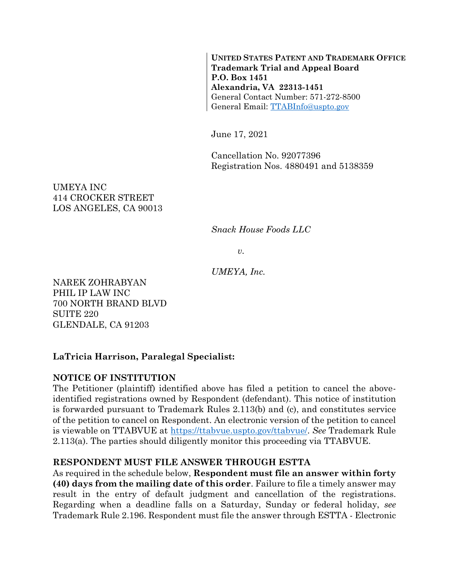**UNITED STATES PATENT AND TRADEMARK OFFICE Trademark Trial and Appeal Board P.O. Box 1451 Alexandria, VA 22313-1451** General Contact Number: 571-272-8500 General Email: [TTABInfo@uspto.gov](mailto:TTABInfo@uspto.gov)

June 17, 2021

Cancellation No. 92077396 Registration Nos. 4880491 and 5138359

UMEYA INC 414 CROCKER STREET LOS ANGELES, CA 90013

*Snack House Foods LLC*

*v.*

*UMEYA, Inc.*

NAREK ZOHRABYAN PHIL IP LAW INC 700 NORTH BRAND BLVD SUITE 220 GLENDALE, CA 91203

# **LaTricia Harrison, Paralegal Specialist:**

## **NOTICE OF INSTITUTION**

The Petitioner (plaintiff) identified above has filed a petition to cancel the aboveidentified registrations owned by Respondent (defendant). This notice of institution is forwarded pursuant to Trademark Rules 2.113(b) and (c), and constitutes service of the petition to cancel on Respondent. An electronic version of the petition to cancel is viewable on TTABVUE at [https://ttabvue.uspto.gov/ttabvue/.](https://ttabvue.uspto.gov/ttabvue/) *See* Trademark Rule 2.113(a). The parties should diligently monitor this proceeding via TTABVUE.

## **RESPONDENT MUST FILE ANSWER THROUGH ESTTA**

As required in the schedule below, **Respondent must file an answer within forty (40) days from the mailing date of this order**. Failure to file a timely answer may result in the entry of default judgment and cancellation of the registrations. Regarding when a deadline falls on a Saturday, Sunday or federal holiday, *see* Trademark Rule 2.196. Respondent must file the answer through ESTTA - Electronic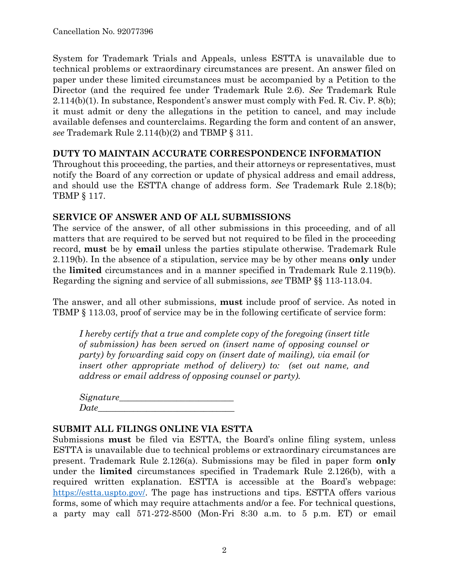System for Trademark Trials and Appeals, unless ESTTA is unavailable due to technical problems or extraordinary circumstances are present. An answer filed on paper under these limited circumstances must be accompanied by a Petition to the Director (and the required fee under Trademark Rule 2.6). *See* Trademark Rule 2.114(b)(1). In substance, Respondent's answer must comply with Fed. R. Civ. P. 8(b); it must admit or deny the allegations in the petition to cancel, and may include available defenses and counterclaims. Regarding the form and content of an answer, *see* Trademark Rule 2.114(b)(2) and TBMP § 311.

#### **DUTY TO MAINTAIN ACCURATE CORRESPONDENCE INFORMATION**

Throughout this proceeding, the parties, and their attorneys or representatives, must notify the Board of any correction or update of physical address and email address, and should use the ESTTA change of address form. *See* Trademark Rule 2.18(b); TBMP § 117.

## **SERVICE OF ANSWER AND OF ALL SUBMISSIONS**

The service of the answer, of all other submissions in this proceeding, and of all matters that are required to be served but not required to be filed in the proceeding record, **must** be by **email** unless the parties stipulate otherwise. Trademark Rule 2.119(b). In the absence of a stipulation, service may be by other means **only** under the **limited** circumstances and in a manner specified in Trademark Rule 2.119(b). Regarding the signing and service of all submissions, *see* TBMP §§ 113-113.04.

The answer, and all other submissions, **must** include proof of service. As noted in TBMP § 113.03, proof of service may be in the following certificate of service form:

*I hereby certify that a true and complete copy of the foregoing (insert title of submission) has been served on (insert name of opposing counsel or party) by forwarding said copy on (insert date of mailing), via email (or insert other appropriate method of delivery) to: (set out name, and address or email address of opposing counsel or party).*

| Signature_ |  |
|------------|--|
| Date       |  |

#### **SUBMIT ALL FILINGS ONLINE VIA ESTTA**

Submissions **must** be filed via ESTTA, the Board's online filing system, unless ESTTA is unavailable due to technical problems or extraordinary circumstances are present. Trademark Rule 2.126(a). Submissions may be filed in paper form **only** under the **limited** circumstances specified in Trademark Rule 2.126(b), with a required written explanation. ESTTA is accessible at the Board's webpage: [https://estta.uspto.gov/.](https://estta.uspto.gov/) The page has instructions and tips. ESTTA offers various forms, some of which may require attachments and/or a fee. For technical questions, a party may call 571-272-8500 (Mon-Fri 8:30 a.m. to 5 p.m. ET) or email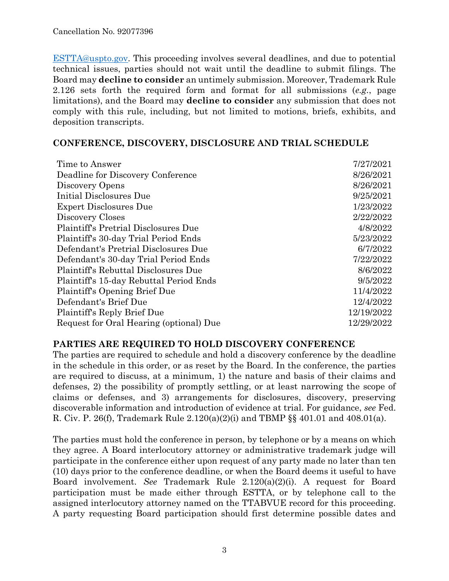[ESTTA@uspto.gov.](mailto:ESTTA@uspto.gov) This proceeding involves several deadlines, and due to potential technical issues, parties should not wait until the deadline to submit filings. The Board may **decline to consider** an untimely submission. Moreover, Trademark Rule 2.126 sets forth the required form and format for all submissions (*e.g.*, page limitations), and the Board may **decline to consider** any submission that does not comply with this rule, including, but not limited to motions, briefs, exhibits, and deposition transcripts.

#### **CONFERENCE, DISCOVERY, DISCLOSURE AND TRIAL SCHEDULE**

| Time to Answer                              | 7/27/2021  |
|---------------------------------------------|------------|
| Deadline for Discovery Conference           | 8/26/2021  |
| Discovery Opens                             | 8/26/2021  |
| Initial Disclosures Due                     | 9/25/2021  |
| <b>Expert Disclosures Due</b>               | 1/23/2022  |
| Discovery Closes                            | 2/22/2022  |
| <b>Plaintiff's Pretrial Disclosures Due</b> | 4/8/2022   |
| Plaintiff's 30-day Trial Period Ends        | 5/23/2022  |
| Defendant's Pretrial Disclosures Due        | 6/7/2022   |
| Defendant's 30-day Trial Period Ends        | 7/22/2022  |
| <b>Plaintiff's Rebuttal Disclosures Due</b> | 8/6/2022   |
| Plaintiff's 15-day Rebuttal Period Ends     | 9/5/2022   |
| Plaintiff's Opening Brief Due               | 11/4/2022  |
| Defendant's Brief Due                       | 12/4/2022  |
| Plaintiff's Reply Brief Due                 | 12/19/2022 |
| Request for Oral Hearing (optional) Due     | 12/29/2022 |

## **PARTIES ARE REQUIRED TO HOLD DISCOVERY CONFERENCE**

The parties are required to schedule and hold a discovery conference by the deadline in the schedule in this order, or as reset by the Board. In the conference, the parties are required to discuss, at a minimum, 1) the nature and basis of their claims and defenses, 2) the possibility of promptly settling, or at least narrowing the scope of claims or defenses, and 3) arrangements for disclosures, discovery, preserving discoverable information and introduction of evidence at trial. For guidance, *see* Fed. R. Civ. P. 26(f), Trademark Rule 2.120(a)(2)(i) and TBMP §§ 401.01 and 408.01(a).

The parties must hold the conference in person, by telephone or by a means on which they agree. A Board interlocutory attorney or administrative trademark judge will participate in the conference either upon request of any party made no later than ten (10) days prior to the conference deadline, or when the Board deems it useful to have Board involvement. *See* Trademark Rule 2.120(a)(2)(i). A request for Board participation must be made either through ESTTA, or by telephone call to the assigned interlocutory attorney named on the TTABVUE record for this proceeding. A party requesting Board participation should first determine possible dates and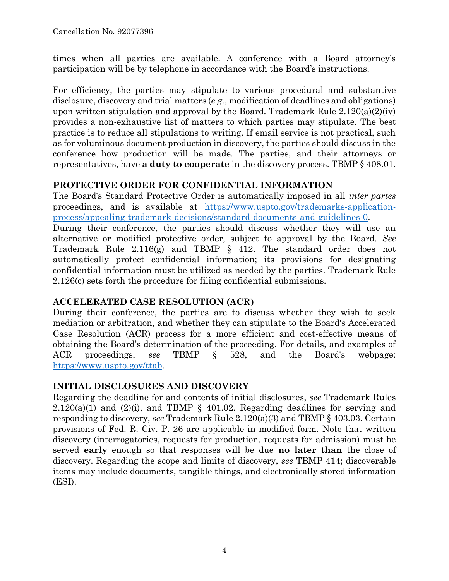times when all parties are available. A conference with a Board attorney's participation will be by telephone in accordance with the Board's instructions.

For efficiency, the parties may stipulate to various procedural and substantive disclosure, discovery and trial matters (*e.g.*, modification of deadlines and obligations) upon written stipulation and approval by the Board. Trademark Rule  $2.120(a)(2)(iv)$ provides a non-exhaustive list of matters to which parties may stipulate. The best practice is to reduce all stipulations to writing. If email service is not practical, such as for voluminous document production in discovery, the parties should discuss in the conference how production will be made. The parties, and their attorneys or representatives, have **a duty to cooperate** in the discovery process. TBMP § 408.01.

## **PROTECTIVE ORDER FOR CONFIDENTIAL INFORMATION**

The Board's Standard Protective Order is automatically imposed in all *inter partes* proceedings, and is available at [https://www.uspto.gov/trademarks-application](https://www.uspto.gov/trademarks-application-process/appealing-trademark-decisions/standard-documents-and-guidelines-0)[process/appealing-trademark-decisions/standard-documents-and-guidelines-0.](https://www.uspto.gov/trademarks-application-process/appealing-trademark-decisions/standard-documents-and-guidelines-0)

During their conference, the parties should discuss whether they will use an alternative or modified protective order, subject to approval by the Board. *See* Trademark Rule 2.116(g) and TBMP § 412. The standard order does not automatically protect confidential information; its provisions for designating confidential information must be utilized as needed by the parties. Trademark Rule 2.126(c) sets forth the procedure for filing confidential submissions.

# **ACCELERATED CASE RESOLUTION (ACR)**

During their conference, the parties are to discuss whether they wish to seek mediation or arbitration, and whether they can stipulate to the Board's Accelerated Case Resolution (ACR) process for a more efficient and cost-effective means of obtaining the Board's determination of the proceeding. For details, and examples of ACR proceedings, *see* TBMP § 528, and the Board's webpage: [https://www.uspto.gov/ttab.](https://www.uspto.gov/ttab)

# **INITIAL DISCLOSURES AND DISCOVERY**

Regarding the deadline for and contents of initial disclosures, *see* Trademark Rules  $2.120(a)(1)$  and  $(2)(i)$ , and TBMP § 401.02. Regarding deadlines for serving and responding to discovery, *see* Trademark Rule 2.120(a)(3) and TBMP § 403.03. Certain provisions of Fed. R. Civ. P. 26 are applicable in modified form. Note that written discovery (interrogatories, requests for production, requests for admission) must be served **early** enough so that responses will be due **no later than** the close of discovery. Regarding the scope and limits of discovery, *see* TBMP 414; discoverable items may include documents, tangible things, and electronically stored information (ESI).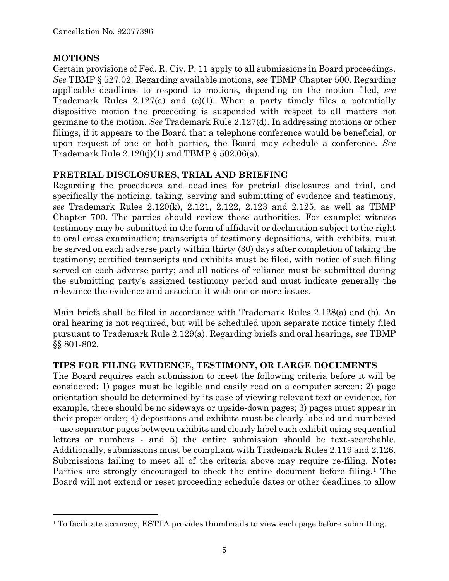## **MOTIONS**

 $\overline{a}$ 

Certain provisions of Fed. R. Civ. P. 11 apply to all submissions in Board proceedings. *See* TBMP § 527.02. Regarding available motions, *see* TBMP Chapter 500. Regarding applicable deadlines to respond to motions, depending on the motion filed, *see* Trademark Rules 2.127(a) and (e)(1). When a party timely files a potentially dispositive motion the proceeding is suspended with respect to all matters not germane to the motion. *See* Trademark Rule 2.127(d). In addressing motions or other filings, if it appears to the Board that a telephone conference would be beneficial, or upon request of one or both parties, the Board may schedule a conference. *See* Trademark Rule  $2.120(j)(1)$  and TBMP §  $502.06(a)$ .

## **PRETRIAL DISCLOSURES, TRIAL AND BRIEFING**

Regarding the procedures and deadlines for pretrial disclosures and trial, and specifically the noticing, taking, serving and submitting of evidence and testimony, *see* Trademark Rules 2.120(k), 2.121, 2.122, 2.123 and 2.125, as well as TBMP Chapter 700. The parties should review these authorities. For example: witness testimony may be submitted in the form of affidavit or declaration subject to the right to oral cross examination; transcripts of testimony depositions, with exhibits, must be served on each adverse party within thirty (30) days after completion of taking the testimony; certified transcripts and exhibits must be filed, with notice of such filing served on each adverse party; and all notices of reliance must be submitted during the submitting party's assigned testimony period and must indicate generally the relevance the evidence and associate it with one or more issues.

Main briefs shall be filed in accordance with Trademark Rules 2.128(a) and (b). An oral hearing is not required, but will be scheduled upon separate notice timely filed pursuant to Trademark Rule 2.129(a). Regarding briefs and oral hearings, *see* TBMP §§ 801-802.

# **TIPS FOR FILING EVIDENCE, TESTIMONY, OR LARGE DOCUMENTS**

The Board requires each submission to meet the following criteria before it will be considered: 1) pages must be legible and easily read on a computer screen; 2) page orientation should be determined by its ease of viewing relevant text or evidence, for example, there should be no sideways or upside-down pages; 3) pages must appear in their proper order; 4) depositions and exhibits must be clearly labeled and numbered – use separator pages between exhibits and clearly label each exhibit using sequential letters or numbers - and 5) the entire submission should be text-searchable. Additionally, submissions must be compliant with Trademark Rules 2.119 and 2.126. Submissions failing to meet all of the criteria above may require re-filing. **Note:** Parties are strongly encouraged to check the entire document before filing.<sup>1</sup> The Board will not extend or reset proceeding schedule dates or other deadlines to allow

<sup>&</sup>lt;sup>1</sup> To facilitate accuracy, ESTTA provides thumbnails to view each page before submitting.